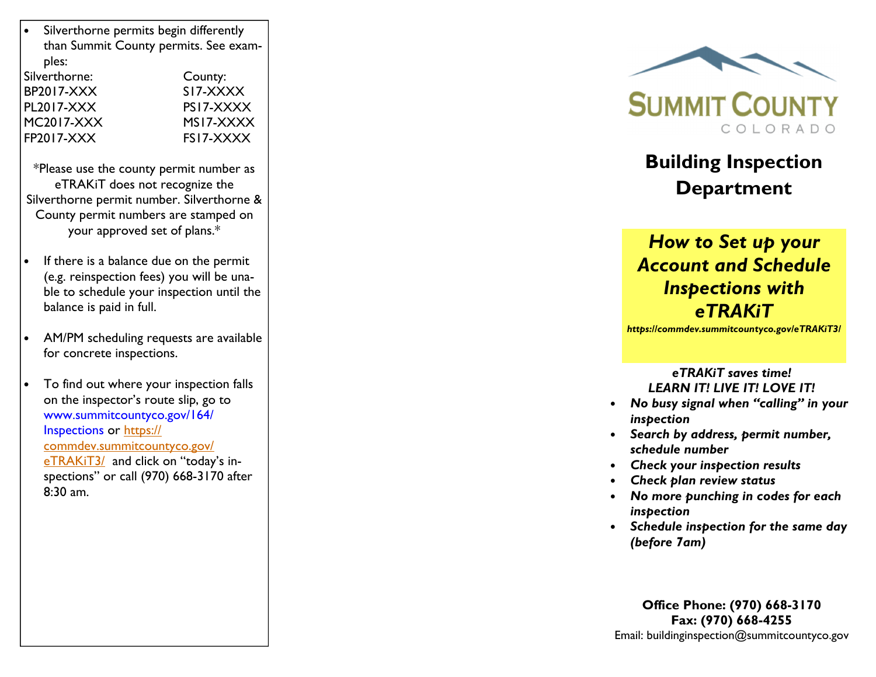| Silverthorne permits begin differently<br>than Summit County permits. See exam-<br>ples: |           |
|------------------------------------------------------------------------------------------|-----------|
| Silverthorne:                                                                            | County:   |
| <b>BP2017-XXX</b>                                                                        | SI7-XXXX  |
| PL2017-XXX                                                                               | PS17-XXXX |
| <b>MC2017-XXX</b>                                                                        | MS17-XXXX |
| <b>FP2017-XXX</b>                                                                        | FS17-XXXX |
|                                                                                          |           |

\*Please use the county permit number as eTRAKiT does not recognize the Silverthorne permit number. Silverthorne & County permit numbers are stamped on your approved set of plans.\*

- If there is a balance due on the permit (e.g. reinspection fees) you will be unable to schedule your inspection until the balance is paid in full.
- AM/PM scheduling requests are available for concrete inspections.
- To find out where your inspection falls on the inspector's route slip, go to www.summitcountyco.gov/164/Inspections or https:// commdev.summitcountyco.gov/eTRAKiT3/ and click on "today's inspections" or call (970) 668-3170 after 8:30 am.



# Building Inspection Department

# How to Set up your Account and Schedule Inspections with eTRAKiT

https://commdev.summitcountyco.gov/eTRAKiT3/

#### eTRAKiT saves time! LEARN IT! LIVE IT! LOVE IT!

- No busy signal when "calling" in your inspection
- Search by address, permit number, schedule number
- Check your inspection results
- Check plan review status
- No more punching in codes for each inspection
- Schedule inspection for the same day (before 7am)

Office Phone: (970) 668-3170 Fax: (970) 668-4255 Email: buildinginspection@summitcountyco.gov